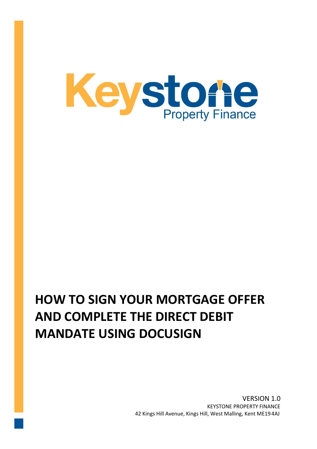

## **HOW TO SIGN YOUR MORTGAGE OFFER AND COMPLETE THE DIRECT DEBIT MANDATE USING DOCUSIGN**

VERSION 1.0 KEYSTONE PROPERTY FINANCE 42 Kings Hill Avenue, Kings Hill, West Malling, Kent ME19 4AJ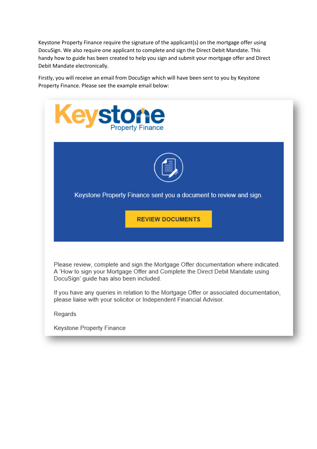Keystone Property Finance require the signature of the applicant(s) on the mortgage offer using DocuSign. We also require one applicant to complete and sign the Direct Debit Mandate. This handy how to guide has been created to help you sign and submit your mortgage offer and Direct Debit Mandate electronically.

Firstly, you will receive an email from DocuSign which will have been sent to you by Keystone Property Finance. Please see the example email below:

| Keystone                                                                                                                                                                                                        |
|-----------------------------------------------------------------------------------------------------------------------------------------------------------------------------------------------------------------|
|                                                                                                                                                                                                                 |
| Keystone Property Finance sent you a document to review and sign.                                                                                                                                               |
| <b>REVIEW DOCUMENTS</b>                                                                                                                                                                                         |
| Please review, complete and sign the Mortgage Offer documentation where indicated.<br>A 'How to sign your Mortgage Offer and Complete the Direct Debit Mandate using<br>DocuSign' guide has also been included. |
| If you have any queries in relation to the Mortgage Offer or associated documentation,<br>please liaise with your solicitor or Independent Financial Advisor.                                                   |
| Regards                                                                                                                                                                                                         |
| Keystone Property Finance                                                                                                                                                                                       |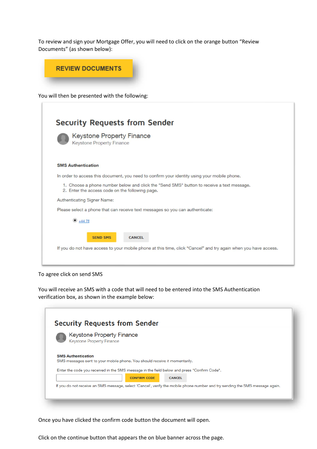To review and sign your Mortgage Offer, you will need to click on the orange button "Review Documents" (as shown below):



You will then be presented with the following:

|                           | <b>Security Requests from Sender</b>                                                                                                         |
|---------------------------|----------------------------------------------------------------------------------------------------------------------------------------------|
|                           | <b>Keystone Property Finance</b><br><b>Keystone Property Finance</b>                                                                         |
| <b>SMS Authentication</b> |                                                                                                                                              |
|                           | In order to access this document, you need to confirm your identity using your mobile phone.                                                 |
|                           | 1. Choose a phone number below and click the "Send SMS" button to receive a text message.<br>2. Enter the access code on the following page. |
|                           | Authenticating Signer Name:                                                                                                                  |
|                           | Please select a phone that can receive text messages so you can authenticate:                                                                |
|                           | $\odot$ +4478                                                                                                                                |
|                           | <b>SEND SMS</b><br><b>CANCEL</b>                                                                                                             |
|                           | If you do not have access to your mobile phone at this time, click "Cancel" and try again when you have access.                              |

To agree click on send SMS

You will receive an SMS with a code that will need to be entered into the SMS Authentication verification box, as shown in the example below:

|                           | <b>Keystone Property Finance</b>                                                            |               |  |
|---------------------------|---------------------------------------------------------------------------------------------|---------------|--|
|                           | <b>Keystone Property Finance</b>                                                            |               |  |
| <b>SMS Authentication</b> |                                                                                             |               |  |
|                           | SMS messages sent to your mobile phone. You should receive it momentarily.                  |               |  |
|                           | Enter the code you received in the SMS message in the field below and press "Confirm Code". |               |  |
|                           | <b>CONFIRM CODE</b>                                                                         | <b>CANCEL</b> |  |

Once you have clicked the confirm code button the document will open.

Click on the continue button that appears the on blue banner across the page.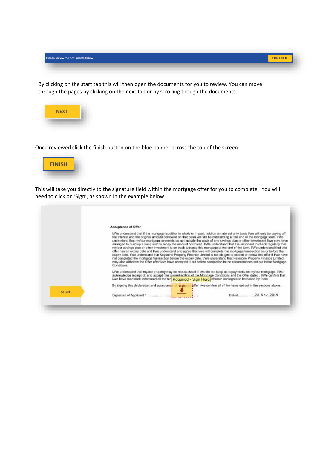| Please review the documents below. | <b>ONTINUE</b> |
|------------------------------------|----------------|
|                                    |                |

By clicking on the start tab this will then open the documents for you to review. You can move through the pages by clicking on the next tab or by scrolling though the documents.



Once reviewed click the finish button on the blue banner across the top of the screen



This will take you directly to the signature field within the mortgage offer for you to complete. You will need to click on 'Sign', as shown in the example below:

|             | Acceptance of Offer<br>I/We understand that if the mortgage is, either in whole or in part, held on an interest only basis I/we will only be paying off<br>the interest and the original amount borrowed on that basis will still be outstanding at the end of the mortgage term. I/We                                                                                                                                                                                                                                                                                                                                                                                                                                                                                                                                                                                                                                   |
|-------------|--------------------------------------------------------------------------------------------------------------------------------------------------------------------------------------------------------------------------------------------------------------------------------------------------------------------------------------------------------------------------------------------------------------------------------------------------------------------------------------------------------------------------------------------------------------------------------------------------------------------------------------------------------------------------------------------------------------------------------------------------------------------------------------------------------------------------------------------------------------------------------------------------------------------------|
|             | understand that my/our mortgage payments do not include the costs of any savings plan or other investment I/we may have<br>arranged to build up a lump sum to repay the amount borrowed. I/We understand that it is important to check reqularly that<br>my/our savings plan or other investment is on track to repay this mortgage at the end of the term. I/We understand that this<br>offer has an expiry date and I/we understand and agree that I/we will complete the mortgage transaction on or before the<br>expiry date. I/we understand that Keystone Property Finance Limited is not obliged to extend or renew this offer if I/we have<br>not completed the mortgage transaction before the expiry date. I/We understand that Keystone Property Finance Limited<br>may also withdraw the Offer after I/we have accepted it but before completion in the circumstances set out in the Mortgage<br>Conditions. |
|             | I/We understand that my/our property may be repossessed if I/we do not keep up repayments on my/our mortgage. I/We<br>acknowledge receipt of, and accept, the current edition of the Mortgage Conditions and the Offer dated . I/We confirm that<br>I/we have read and understood all the ten Required - Sign Here <sup>1</sup> therein and agree to be bound by them.                                                                                                                                                                                                                                                                                                                                                                                                                                                                                                                                                   |
|             | bffer liwe confirm all of the items set out in the sections above.<br>By signing this declaration and acceptand<br><b>Slan</b>                                                                                                                                                                                                                                                                                                                                                                                                                                                                                                                                                                                                                                                                                                                                                                                           |
| <b>SIGN</b> | <b>Business</b>                                                                                                                                                                                                                                                                                                                                                                                                                                                                                                                                                                                                                                                                                                                                                                                                                                                                                                          |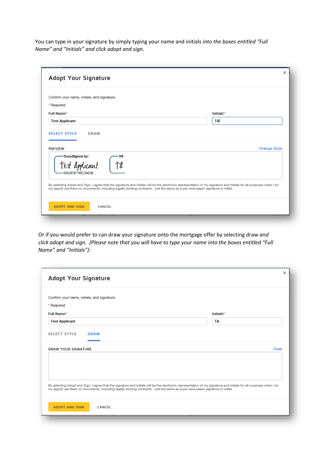You can type in your signature by simply typing your name and initials *into the boxes entitled "Full Name" and "Initials" and click adopt and sign.* 

| Confirm your name, initials, and signature. |              |
|---------------------------------------------|--------------|
| * Required                                  |              |
| Full Name*                                  | Initials*    |
| <b>Test Applicant</b>                       | TA           |
| DocuSigned by:<br><b>DS</b>                 | Change Style |
| PREVIEW<br>aut<br>6553F8F16F284DB           |              |

Or if you would prefer to can draw your signature onto the mortgage offer by selecting draw *and click adopt and sign. (Please note that you will have to type your name into the boxes entitled "Full Name" and "Initials")*:

|                       | Adopt Your Signature                        |                                                                                                                                                                                                                                                                                                      |       |
|-----------------------|---------------------------------------------|------------------------------------------------------------------------------------------------------------------------------------------------------------------------------------------------------------------------------------------------------------------------------------------------------|-------|
|                       | Confirm your name, initials, and signature. |                                                                                                                                                                                                                                                                                                      |       |
| * Required            |                                             |                                                                                                                                                                                                                                                                                                      |       |
| Full Name*            |                                             | Initials*                                                                                                                                                                                                                                                                                            |       |
| <b>Test Applicant</b> |                                             | TA                                                                                                                                                                                                                                                                                                   |       |
| SELECT STYLE          | <b>DRAW</b>                                 |                                                                                                                                                                                                                                                                                                      |       |
| DRAW YOUR SIGNATURE   |                                             |                                                                                                                                                                                                                                                                                                      | Clear |
|                       |                                             | By selecting Adopt and Sign, I agree that the signature and initials will be the electronic representation of my signature and initials for all purposes when I (or<br>my agent) use them on documents, including legally binding contracts - just the same as a pen-and-paper signature or initial. |       |
|                       | <b>ADOPT AND SIGN</b><br>CANCEL             |                                                                                                                                                                                                                                                                                                      |       |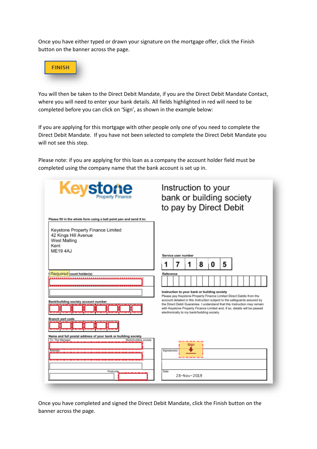Once you have either typed or drawn your signature on the mortgage offer, click the Finish button on the banner across the page.



You will then be taken to the Direct Debit Mandate, if you are the Direct Debit Mandate Contact, where you will need to enter your bank details. All fields highlighted in red will need to be completed before you can click on 'Sign', as shown in the example below:

If you are applying for this mortgage with other people only one of you need to complete the Direct Debit Mandate. If you have not been selected to complete the Direct Debit Mandate you will not see this step.

Please note: if you are applying for this loan as a company the account holder field must be completed using the company name that the bank account is set up in.

| Keystone                                                                                                                                                                    | Instruction to your<br>bank or building society<br>to pay by Direct Debit                                                                                                                                                                                                                                                                                                                                              |   |                         |   |   |   |  |  |  |  |  |
|-----------------------------------------------------------------------------------------------------------------------------------------------------------------------------|------------------------------------------------------------------------------------------------------------------------------------------------------------------------------------------------------------------------------------------------------------------------------------------------------------------------------------------------------------------------------------------------------------------------|---|-------------------------|---|---|---|--|--|--|--|--|
| Please fill in the whole form using a ball point pen and send it to:<br>Keystone Property Finance Limited<br>42 Kings Hill Avenue<br>West Malling<br>Kent<br><b>MF194AJ</b> | Service user number                                                                                                                                                                                                                                                                                                                                                                                                    |   |                         |   |   |   |  |  |  |  |  |
|                                                                                                                                                                             |                                                                                                                                                                                                                                                                                                                                                                                                                        | 7 | 1                       | 8 | 0 | 5 |  |  |  |  |  |
| Required pount holder(s)<br>Bank/building society account number<br>Branch sort code                                                                                        | Reference<br>Instruction to your bank or building society<br>Please pay Keystone Property Finance Limited Direct Debits from the<br>account detailed in this Instruction subject to the safeguards assured by<br>the Direct Debit Guarantee. I understand that this Instruction may remain<br>with Keystone Property Finance Limited and, if so, details will be passed<br>electronically to my bank/building society. |   |                         |   |   |   |  |  |  |  |  |
| Name and full postal address of your bank or building society<br>To: The Manager<br>Bank/building society<br>Postcode.<br>                                                  | Signature(s)<br>Date                                                                                                                                                                                                                                                                                                                                                                                                   |   | Slan<br><br>28-Nov-2019 |   |   |   |  |  |  |  |  |

Once you have completed and signed the Direct Debit Mandate, click the Finish button on the banner across the page.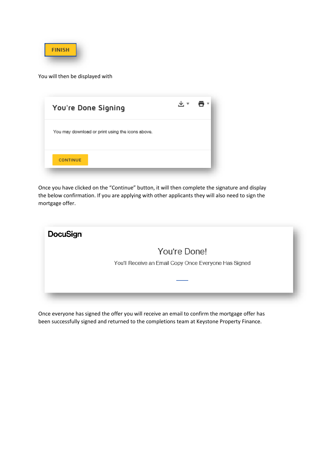

You will then be displayed with

| You're Done Signing                              |  |
|--------------------------------------------------|--|
| You may download or print using the icons above. |  |
| <b>CONTINUE</b>                                  |  |

Once you have clicked on the "Continue" button, it will then complete the signature and display the below confirmation. If you are applying with other applicants they will also need to sign the mortgage offer.



Once everyone has signed the offer you will receive an email to confirm the mortgage offer has been successfully signed and returned to the completions team at Keystone Property Finance.